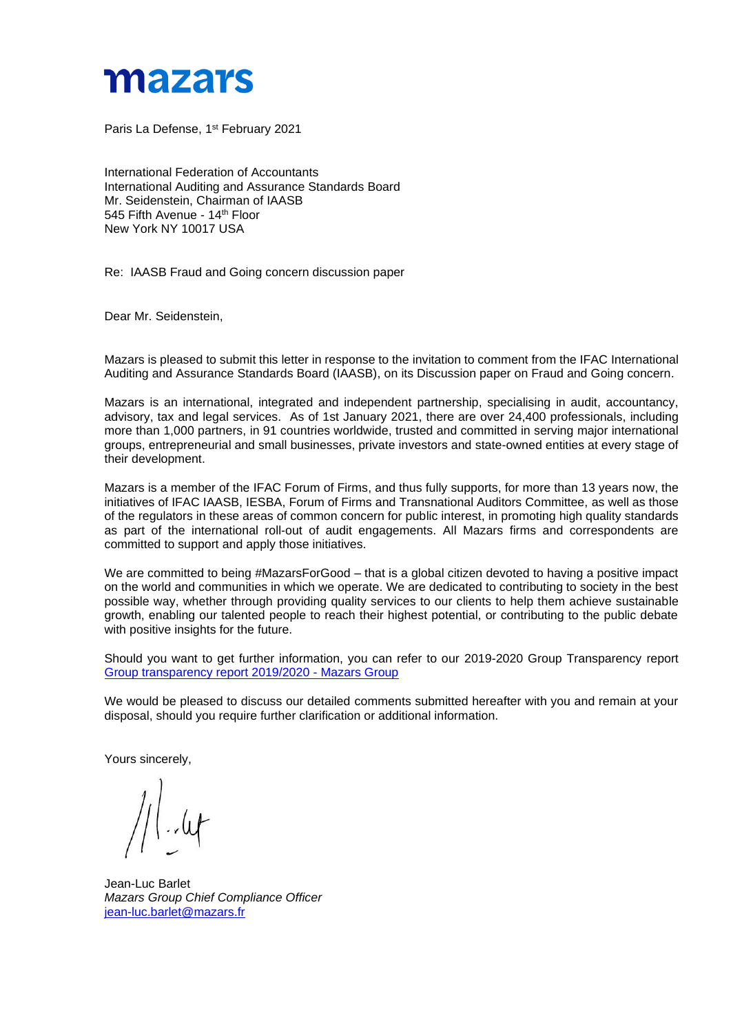

Paris La Defense, 1<sup>st</sup> February 2021

International Federation of Accountants International Auditing and Assurance Standards Board Mr. Seidenstein, Chairman of IAASB 545 Fifth Avenue - 14<sup>th</sup> Floor New York NY 10017 USA

Re: IAASB Fraud and Going concern discussion paper

Dear Mr. Seidenstein,

Mazars is pleased to submit this letter in response to the invitation to comment from the IFAC International Auditing and Assurance Standards Board (IAASB), on its Discussion paper on Fraud and Going concern.

Mazars is an international, integrated and independent partnership, specialising in audit, accountancy, advisory, tax and legal services. As of 1st January 2021, there are over 24,400 professionals, including more than 1,000 partners, in 91 countries worldwide, trusted and committed in serving major international groups, entrepreneurial and small businesses, private investors and state-owned entities at every stage of their development.

Mazars is a member of the IFAC Forum of Firms, and thus fully supports, for more than 13 years now, the initiatives of IFAC IAASB, IESBA, Forum of Firms and Transnational Auditors Committee, as well as those of the regulators in these areas of common concern for public interest, in promoting high quality standards as part of the international roll-out of audit engagements. All Mazars firms and correspondents are committed to support and apply those initiatives.

We are committed to being #MazarsForGood – that is a global citizen devoted to having a positive impact on the world and communities in which we operate. We are dedicated to contributing to society in the best possible way, whether through providing quality services to our clients to help them achieve sustainable growth, enabling our talented people to reach their highest potential, or contributing to the public debate with positive insights for the future.

Should you want to get further information, you can refer to our 2019-2020 Group Transparency report [Group transparency report 2019/2020 -](https://www.mazars.com/Home/About-us/News-publications-and-media/Our-publications/Transparency-reports/Group-transparency-report-2019-2020) Mazars Group

We would be pleased to discuss our detailed comments submitted hereafter with you and remain at your disposal, should you require further clarification or additional information.

Yours sincerely,

Jean-Luc Barlet *Mazars Group Chief Compliance Officer* [jean-luc.barlet@mazars.fr](mailto:jean-luc.barlet@mazars.fr)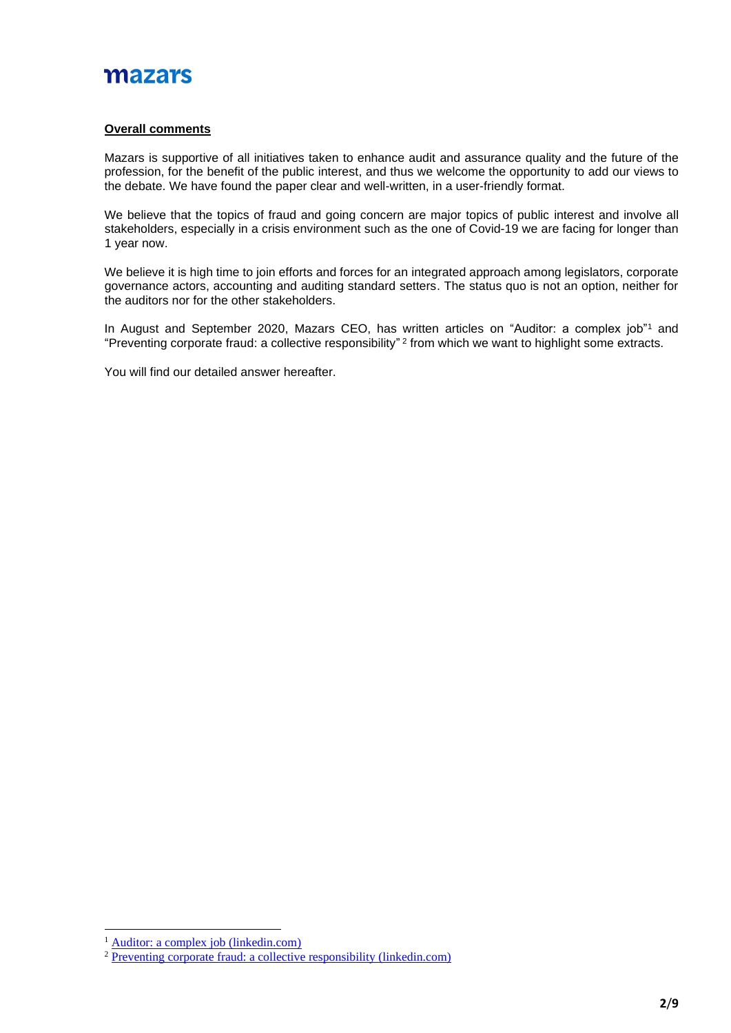### **Overall comments**

Mazars is supportive of all initiatives taken to enhance audit and assurance quality and the future of the profession, for the benefit of the public interest, and thus we welcome the opportunity to add our views to the debate. We have found the paper clear and well-written, in a user-friendly format.

We believe that the topics of fraud and going concern are major topics of public interest and involve all stakeholders, especially in a crisis environment such as the one of Covid-19 we are facing for longer than 1 year now.

We believe it is high time to join efforts and forces for an integrated approach among legislators, corporate governance actors, accounting and auditing standard setters. The status quo is not an option, neither for the auditors nor for the other stakeholders.

In August and September 2020, Mazars CEO, has written articles on "Auditor: a complex job"<sup>1</sup> and "Preventing corporate fraud: a collective responsibility"  $^2$  from which we want to highlight some extracts.

You will find our detailed answer hereafter.

<sup>&</sup>lt;sup>1</sup> [Auditor: a complex job \(linkedin.com\)](https://www.linkedin.com/pulse/auditor-complex-job-herv%25C3%25A9-h%25C3%25A9lias/?trackingId=VchB4SijcXCp43YXw7SJ%2BQ%3D%3D)

<sup>&</sup>lt;sup>2</sup> [Preventing corporate fraud: a collective responsibility \(linkedin.com\)](https://www.linkedin.com/pulse/preventing-corporate-fraud-collective-responsibility-herv%C3%A9-h%C3%A9lias)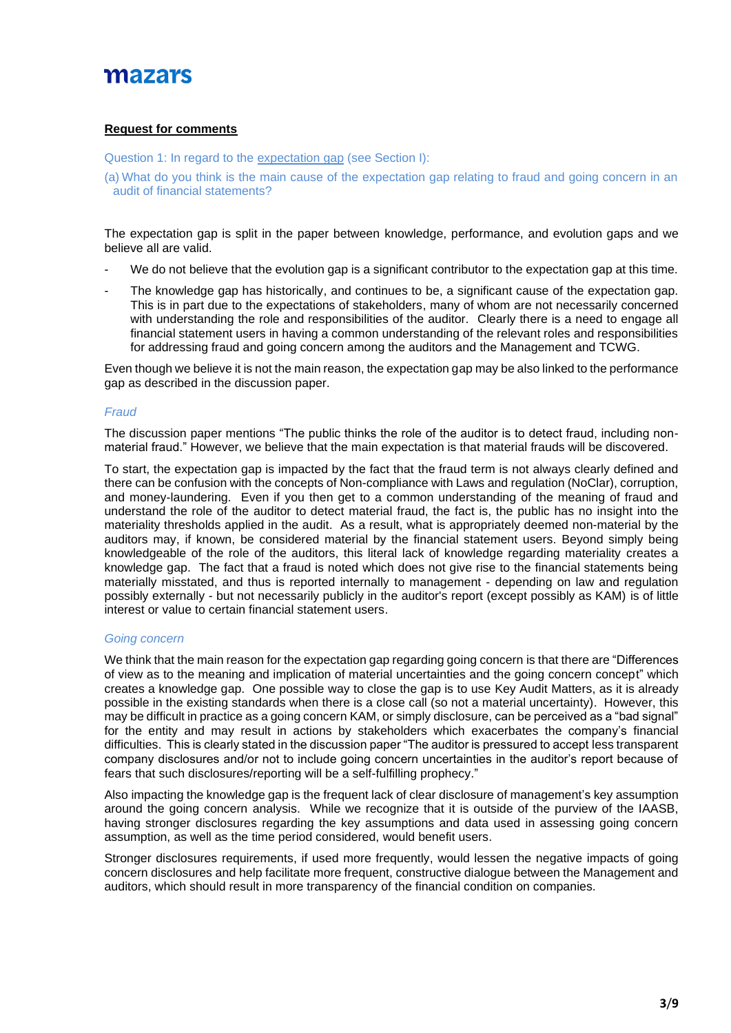## **Request for comments**

Question 1: In regard to the expectation gap (see Section I):

(a) What do you think is the main cause of the expectation gap relating to fraud and going concern in an audit of financial statements?

The expectation gap is split in the paper between knowledge, performance, and evolution gaps and we believe all are valid.

- We do not believe that the evolution gap is a significant contributor to the expectation gap at this time.
- The knowledge gap has historically, and continues to be, a significant cause of the expectation gap. This is in part due to the expectations of stakeholders, many of whom are not necessarily concerned with understanding the role and responsibilities of the auditor. Clearly there is a need to engage all financial statement users in having a common understanding of the relevant roles and responsibilities for addressing fraud and going concern among the auditors and the Management and TCWG.

Even though we believe it is not the main reason, the expectation gap may be also linked to the performance gap as described in the discussion paper.

## *Fraud*

The discussion paper mentions "The public thinks the role of the auditor is to detect fraud, including nonmaterial fraud." However, we believe that the main expectation is that material frauds will be discovered.

To start, the expectation gap is impacted by the fact that the fraud term is not always clearly defined and there can be confusion with the concepts of Non-compliance with Laws and regulation (NoClar), corruption, and money-laundering. Even if you then get to a common understanding of the meaning of fraud and understand the role of the auditor to detect material fraud, the fact is, the public has no insight into the materiality thresholds applied in the audit. As a result, what is appropriately deemed non-material by the auditors may, if known, be considered material by the financial statement users. Beyond simply being knowledgeable of the role of the auditors, this literal lack of knowledge regarding materiality creates a knowledge gap. The fact that a fraud is noted which does not give rise to the financial statements being materially misstated, and thus is reported internally to management - depending on law and regulation possibly externally - but not necessarily publicly in the auditor's report (except possibly as KAM) is of little interest or value to certain financial statement users.

### *Going concern*

We think that the main reason for the expectation gap regarding going concern is that there are "Differences of view as to the meaning and implication of material uncertainties and the going concern concept" which creates a knowledge gap. One possible way to close the gap is to use Key Audit Matters, as it is already possible in the existing standards when there is a close call (so not a material uncertainty). However, this may be difficult in practice as a going concern KAM, or simply disclosure, can be perceived as a "bad signal" for the entity and may result in actions by stakeholders which exacerbates the company's financial difficulties. This is clearly stated in the discussion paper "The auditor is pressured to accept less transparent company disclosures and/or not to include going concern uncertainties in the auditor's report because of fears that such disclosures/reporting will be a self-fulfilling prophecy."

Also impacting the knowledge gap is the frequent lack of clear disclosure of management's key assumption around the going concern analysis. While we recognize that it is outside of the purview of the IAASB, having stronger disclosures regarding the key assumptions and data used in assessing going concern assumption, as well as the time period considered, would benefit users.

Stronger disclosures requirements, if used more frequently, would lessen the negative impacts of going concern disclosures and help facilitate more frequent, constructive dialogue between the Management and auditors, which should result in more transparency of the financial condition on companies.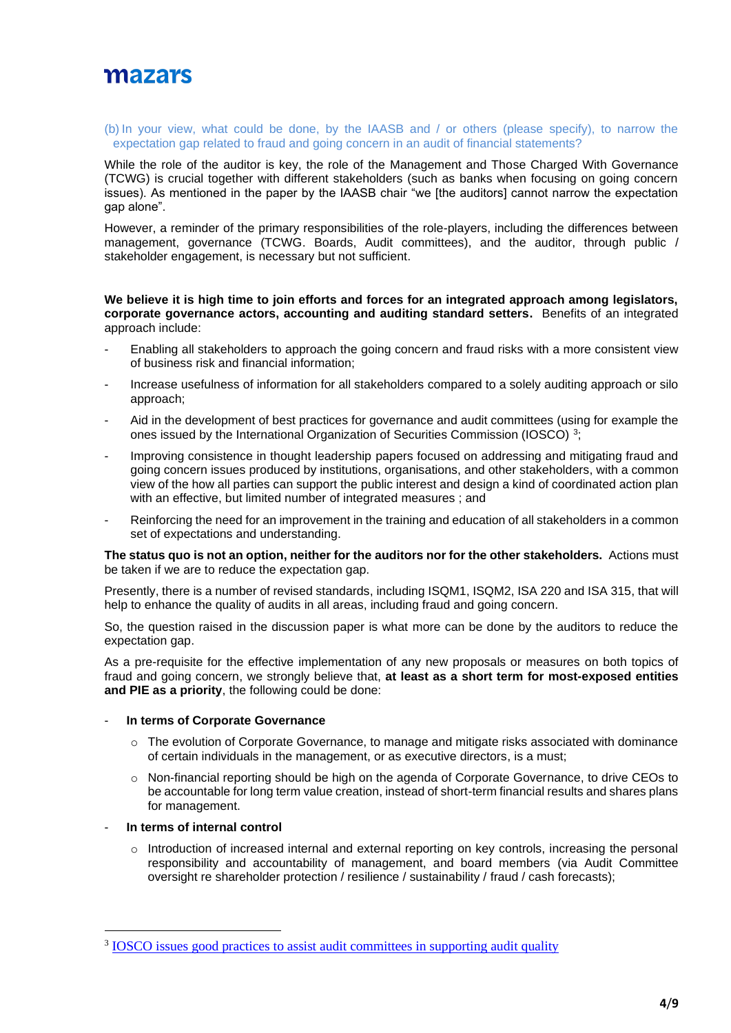

#### (b) In your view, what could be done, by the IAASB and / or others (please specify), to narrow the expectation gap related to fraud and going concern in an audit of financial statements?

While the role of the auditor is key, the role of the Management and Those Charged With Governance (TCWG) is crucial together with different stakeholders (such as banks when focusing on going concern issues). As mentioned in the paper by the IAASB chair "we [the auditors] cannot narrow the expectation gap alone".

However, a reminder of the primary responsibilities of the role-players, including the differences between management, governance (TCWG. Boards, Audit committees), and the auditor, through public / stakeholder engagement, is necessary but not sufficient.

### **We believe it is high time to join efforts and forces for an integrated approach among legislators, corporate governance actors, accounting and auditing standard setters.** Benefits of an integrated approach include:

- Enabling all stakeholders to approach the going concern and fraud risks with a more consistent view of business risk and financial information;
- Increase usefulness of information for all stakeholders compared to a solely auditing approach or silo approach;
- Aid in the development of best practices for governance and audit committees (using for example the ones issued by the International Organization of Securities Commission (IOSCO)<sup>3</sup>;
- Improving consistence in thought leadership papers focused on addressing and mitigating fraud and going concern issues produced by institutions, organisations, and other stakeholders, with a common view of the how all parties can support the public interest and design a kind of coordinated action plan with an effective, but limited number of integrated measures ; and
- Reinforcing the need for an improvement in the training and education of all stakeholders in a common set of expectations and understanding.

**The status quo is not an option, neither for the auditors nor for the other stakeholders.** Actions must be taken if we are to reduce the expectation gap.

Presently, there is a number of revised standards, including ISQM1, ISQM2, ISA 220 and ISA 315, that will help to enhance the quality of audits in all areas, including fraud and going concern.

So, the question raised in the discussion paper is what more can be done by the auditors to reduce the expectation gap.

As a pre-requisite for the effective implementation of any new proposals or measures on both topics of fraud and going concern, we strongly believe that, **at least as a short term for most-exposed entities and PIE as a priority**, the following could be done:

### **In terms of Corporate Governance**

- $\circ$  The evolution of Corporate Governance, to manage and mitigate risks associated with dominance of certain individuals in the management, or as executive directors, is a must;
- o Non-financial reporting should be high on the agenda of Corporate Governance, to drive CEOs to be accountable for long term value creation, instead of short-term financial results and shares plans for management.

## In terms of internal control

 $\circ$  Introduction of increased internal and external reporting on key controls, increasing the personal responsibility and accountability of management, and board members (via Audit Committee oversight re shareholder protection / resilience / sustainability / fraud / cash forecasts);

<sup>&</sup>lt;sup>3</sup> [IOSCO issues good practices to assist audit committees in supporting audit quality](https://www.iosco.org/news/pdf/IOSCONEWS518.pdf)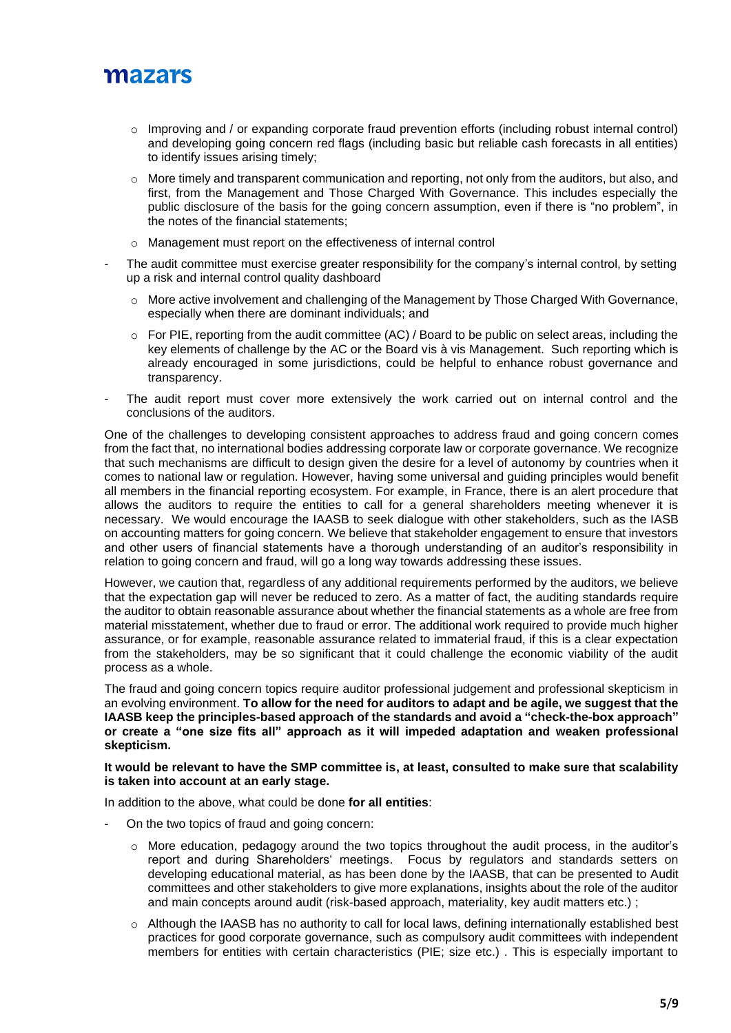- $\circ$  Improving and / or expanding corporate fraud prevention efforts (including robust internal control) and developing going concern red flags (including basic but reliable cash forecasts in all entities) to identify issues arising timely;
- $\circ$  More timely and transparent communication and reporting, not only from the auditors, but also, and first, from the Management and Those Charged With Governance. This includes especially the public disclosure of the basis for the going concern assumption, even if there is "no problem", in the notes of the financial statements;
- o Management must report on the effectiveness of internal control
- The audit committee must exercise greater responsibility for the company's internal control, by setting up a risk and internal control quality dashboard
	- $\circ$  More active involvement and challenging of the Management by Those Charged With Governance, especially when there are dominant individuals; and
	- $\circ$  For PIE, reporting from the audit committee (AC) / Board to be public on select areas, including the key elements of challenge by the AC or the Board vis à vis Management. Such reporting which is already encouraged in some jurisdictions, could be helpful to enhance robust governance and transparency.
- The audit report must cover more extensively the work carried out on internal control and the conclusions of the auditors.

One of the challenges to developing consistent approaches to address fraud and going concern comes from the fact that, no international bodies addressing corporate law or corporate governance. We recognize that such mechanisms are difficult to design given the desire for a level of autonomy by countries when it comes to national law or regulation. However, having some universal and guiding principles would benefit all members in the financial reporting ecosystem. For example, in France, there is an alert procedure that allows the auditors to require the entities to call for a general shareholders meeting whenever it is necessary. We would encourage the IAASB to seek dialogue with other stakeholders, such as the IASB on accounting matters for going concern. We believe that stakeholder engagement to ensure that investors and other users of financial statements have a thorough understanding of an auditor's responsibility in relation to going concern and fraud, will go a long way towards addressing these issues.

However, we caution that, regardless of any additional requirements performed by the auditors, we believe that the expectation gap will never be reduced to zero. As a matter of fact, the auditing standards require the auditor to obtain reasonable assurance about whether the financial statements as a whole are free from material misstatement, whether due to fraud or error. The additional work required to provide much higher assurance, or for example, reasonable assurance related to immaterial fraud, if this is a clear expectation from the stakeholders, may be so significant that it could challenge the economic viability of the audit process as a whole.

The fraud and going concern topics require auditor professional judgement and professional skepticism in an evolving environment. **To allow for the need for auditors to adapt and be agile, we suggest that the IAASB keep the principles-based approach of the standards and avoid a "check-the-box approach" or create a "one size fits all" approach as it will impeded adaptation and weaken professional skepticism.**

### **It would be relevant to have the SMP committee is, at least, consulted to make sure that scalability is taken into account at an early stage.**

In addition to the above, what could be done **for all entities**:

- On the two topics of fraud and going concern:
	- o More education, pedagogy around the two topics throughout the audit process, in the auditor's report and during Shareholders' meetings. Focus by regulators and standards setters on developing educational material, as has been done by the IAASB, that can be presented to Audit committees and other stakeholders to give more explanations, insights about the role of the auditor and main concepts around audit (risk-based approach, materiality, key audit matters etc.) ;
	- $\circ$  Although the IAASB has no authority to call for local laws, defining internationally established best practices for good corporate governance, such as compulsory audit committees with independent members for entities with certain characteristics (PIE; size etc.) . This is especially important to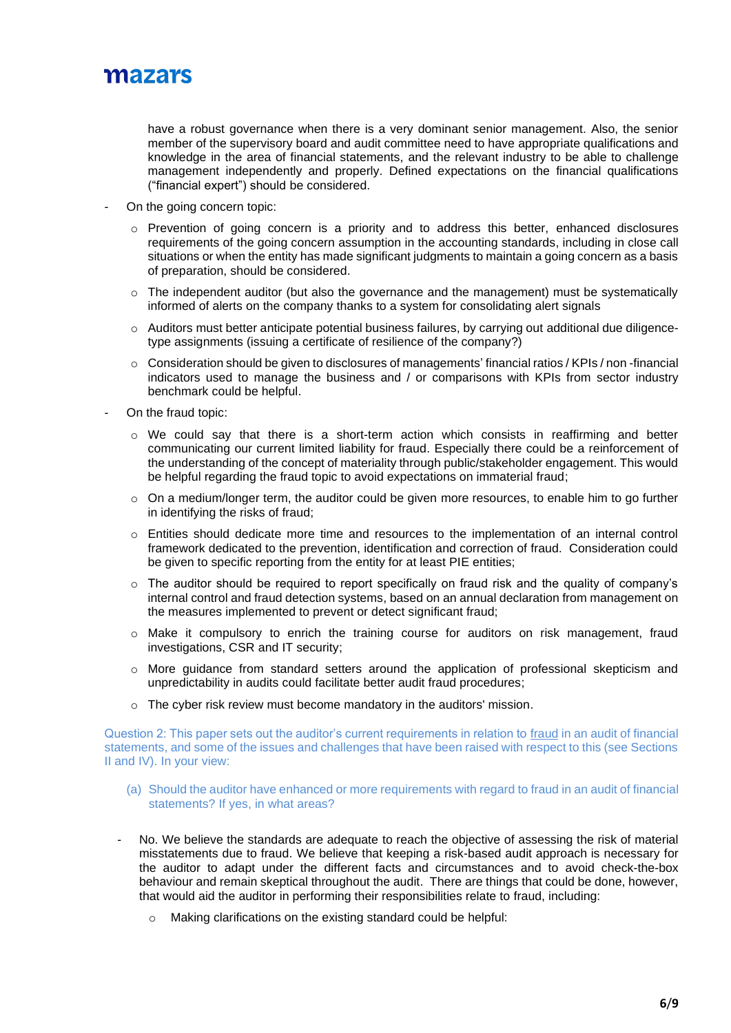

have a robust governance when there is a very dominant senior management. Also, the senior member of the supervisory board and audit committee need to have appropriate qualifications and knowledge in the area of financial statements, and the relevant industry to be able to challenge management independently and properly. Defined expectations on the financial qualifications ("financial expert") should be considered.

- On the going concern topic:
	- $\circ$  Prevention of going concern is a priority and to address this better, enhanced disclosures requirements of the going concern assumption in the accounting standards, including in close call situations or when the entity has made significant judgments to maintain a going concern as a basis of preparation, should be considered.
	- $\circ$  The independent auditor (but also the governance and the management) must be systematically informed of alerts on the company thanks to a system for consolidating alert signals
	- o Auditors must better anticipate potential business failures, by carrying out additional due diligencetype assignments (issuing a certificate of resilience of the company?)
	- o Consideration should be given to disclosures of managements' financial ratios / KPIs / non -financial indicators used to manage the business and / or comparisons with KPIs from sector industry benchmark could be helpful.
- On the fraud topic:
	- $\circ$  We could say that there is a short-term action which consists in reaffirming and better communicating our current limited liability for fraud. Especially there could be a reinforcement of the understanding of the concept of materiality through public/stakeholder engagement. This would be helpful regarding the fraud topic to avoid expectations on immaterial fraud;
	- $\circ$  On a medium/longer term, the auditor could be given more resources, to enable him to go further in identifying the risks of fraud;
	- $\circ$  Entities should dedicate more time and resources to the implementation of an internal control framework dedicated to the prevention, identification and correction of fraud. Consideration could be given to specific reporting from the entity for at least PIE entities;
	- o The auditor should be required to report specifically on fraud risk and the quality of company's internal control and fraud detection systems, based on an annual declaration from management on the measures implemented to prevent or detect significant fraud;
	- o Make it compulsory to enrich the training course for auditors on risk management, fraud investigations, CSR and IT security;
	- o More guidance from standard setters around the application of professional skepticism and unpredictability in audits could facilitate better audit fraud procedures;
	- o The cyber risk review must become mandatory in the auditors' mission.

Question 2: This paper sets out the auditor's current requirements in relation to fraud in an audit of financial statements, and some of the issues and challenges that have been raised with respect to this (see Sections II and IV). In your view:

- (a) Should the auditor have enhanced or more requirements with regard to fraud in an audit of financial statements? If yes, in what areas?
- No. We believe the standards are adequate to reach the objective of assessing the risk of material misstatements due to fraud. We believe that keeping a risk-based audit approach is necessary for the auditor to adapt under the different facts and circumstances and to avoid check-the-box behaviour and remain skeptical throughout the audit. There are things that could be done, however, that would aid the auditor in performing their responsibilities relate to fraud, including:
	- o Making clarifications on the existing standard could be helpful: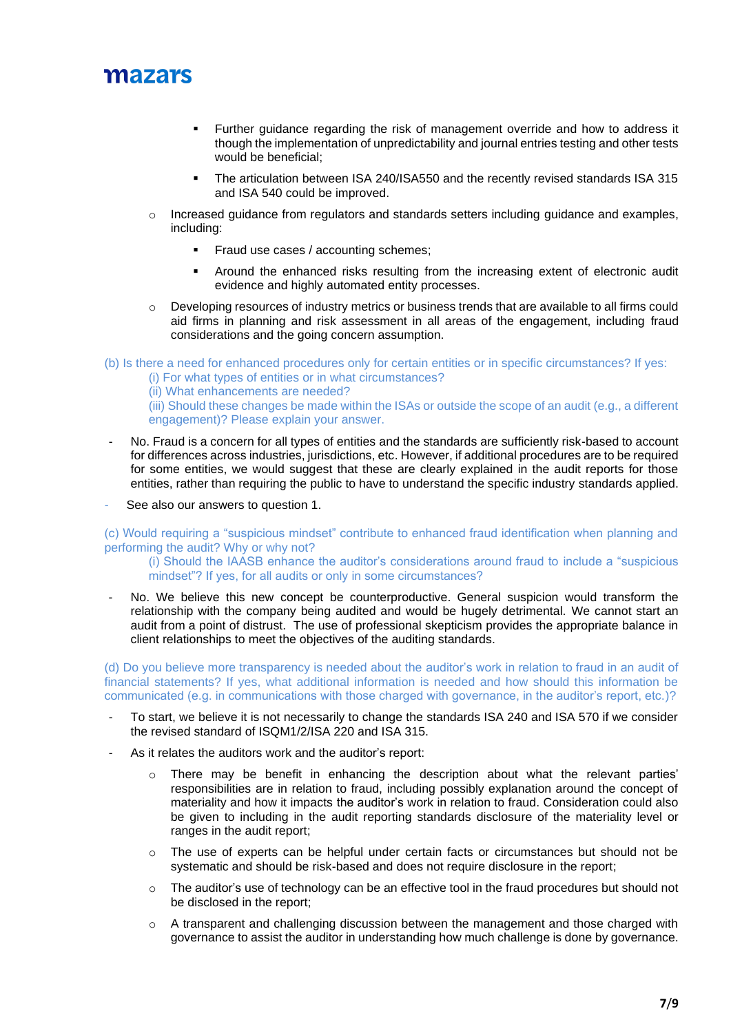

- Further guidance regarding the risk of management override and how to address it though the implementation of unpredictability and journal entries testing and other tests would be beneficial;
- The articulation between ISA 240/ISA550 and the recently revised standards ISA 315 and ISA 540 could be improved.
- o Increased guidance from regulators and standards setters including guidance and examples, including:
	- Fraud use cases / accounting schemes:
	- Around the enhanced risks resulting from the increasing extent of electronic audit evidence and highly automated entity processes.
- o Developing resources of industry metrics or business trends that are available to all firms could aid firms in planning and risk assessment in all areas of the engagement, including fraud considerations and the going concern assumption.

(b) Is there a need for enhanced procedures only for certain entities or in specific circumstances? If yes:

- (i) For what types of entities or in what circumstances?
- (ii) What enhancements are needed?

(iii) Should these changes be made within the ISAs or outside the scope of an audit (e.g., a different engagement)? Please explain your answer.

- No. Fraud is a concern for all types of entities and the standards are sufficiently risk-based to account for differences across industries, jurisdictions, etc. However, if additional procedures are to be required for some entities, we would suggest that these are clearly explained in the audit reports for those entities, rather than requiring the public to have to understand the specific industry standards applied.
- See also our answers to question 1.

(c) Would requiring a "suspicious mindset" contribute to enhanced fraud identification when planning and performing the audit? Why or why not?

(i) Should the IAASB enhance the auditor's considerations around fraud to include a "suspicious mindset"? If yes, for all audits or only in some circumstances?

No. We believe this new concept be counterproductive. General suspicion would transform the relationship with the company being audited and would be hugely detrimental. We cannot start an audit from a point of distrust. The use of professional skepticism provides the appropriate balance in client relationships to meet the objectives of the auditing standards.

(d) Do you believe more transparency is needed about the auditor's work in relation to fraud in an audit of financial statements? If yes, what additional information is needed and how should this information be communicated (e.g. in communications with those charged with governance, in the auditor's report, etc.)?

- To start, we believe it is not necessarily to change the standards ISA 240 and ISA 570 if we consider the revised standard of ISQM1/2/ISA 220 and ISA 315.
- As it relates the auditors work and the auditor's report:
	- $\circ$  There may be benefit in enhancing the description about what the relevant parties' responsibilities are in relation to fraud, including possibly explanation around the concept of materiality and how it impacts the auditor's work in relation to fraud. Consideration could also be given to including in the audit reporting standards disclosure of the materiality level or ranges in the audit report;
	- $\circ$  The use of experts can be helpful under certain facts or circumstances but should not be systematic and should be risk-based and does not require disclosure in the report;
	- o The auditor's use of technology can be an effective tool in the fraud procedures but should not be disclosed in the report;
	- $\circ$  A transparent and challenging discussion between the management and those charged with governance to assist the auditor in understanding how much challenge is done by governance.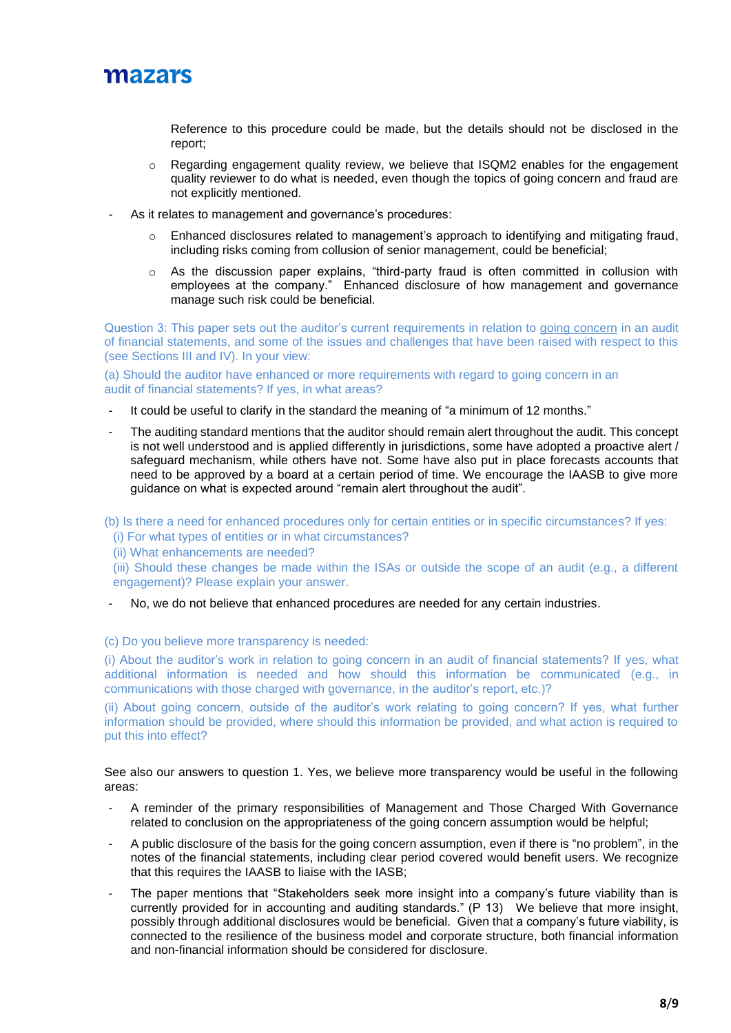

Reference to this procedure could be made, but the details should not be disclosed in the report;

- $\circ$  Regarding engagement quality review, we believe that ISQM2 enables for the engagement quality reviewer to do what is needed, even though the topics of going concern and fraud are not explicitly mentioned.
- As it relates to management and governance's procedures:
	- Enhanced disclosures related to management's approach to identifying and mitigating fraud, including risks coming from collusion of senior management, could be beneficial;
	- $\circ$  As the discussion paper explains, "third-party fraud is often committed in collusion with employees at the company." Enhanced disclosure of how management and governance manage such risk could be beneficial.

Question 3: This paper sets out the auditor's current requirements in relation to going concern in an audit of financial statements, and some of the issues and challenges that have been raised with respect to this (see Sections III and IV). In your view:

(a) Should the auditor have enhanced or more requirements with regard to going concern in an audit of financial statements? If yes, in what areas?

- It could be useful to clarify in the standard the meaning of "a minimum of 12 months."
- The auditing standard mentions that the auditor should remain alert throughout the audit. This concept is not well understood and is applied differently in jurisdictions, some have adopted a proactive alert / safeguard mechanism, while others have not. Some have also put in place forecasts accounts that need to be approved by a board at a certain period of time. We encourage the IAASB to give more guidance on what is expected around "remain alert throughout the audit".

(b) Is there a need for enhanced procedures only for certain entities or in specific circumstances? If yes:

(i) For what types of entities or in what circumstances?

(ii) What enhancements are needed?

(iii) Should these changes be made within the ISAs or outside the scope of an audit (e.g., a different engagement)? Please explain your answer.

No, we do not believe that enhanced procedures are needed for any certain industries.

(c) Do you believe more transparency is needed:

(i) About the auditor's work in relation to going concern in an audit of financial statements? If yes, what additional information is needed and how should this information be communicated (e.g., in communications with those charged with governance, in the auditor's report, etc.)?

(ii) About going concern, outside of the auditor's work relating to going concern? If yes, what further information should be provided, where should this information be provided, and what action is required to put this into effect?

See also our answers to question 1. Yes, we believe more transparency would be useful in the following areas:

- A reminder of the primary responsibilities of Management and Those Charged With Governance related to conclusion on the appropriateness of the going concern assumption would be helpful;
- A public disclosure of the basis for the going concern assumption, even if there is "no problem", in the notes of the financial statements, including clear period covered would benefit users. We recognize that this requires the IAASB to liaise with the IASB;
- The paper mentions that "Stakeholders seek more insight into a company's future viability than is currently provided for in accounting and auditing standards." (P 13) We believe that more insight, possibly through additional disclosures would be beneficial. Given that a company's future viability, is connected to the resilience of the business model and corporate structure, both financial information and non-financial information should be considered for disclosure.